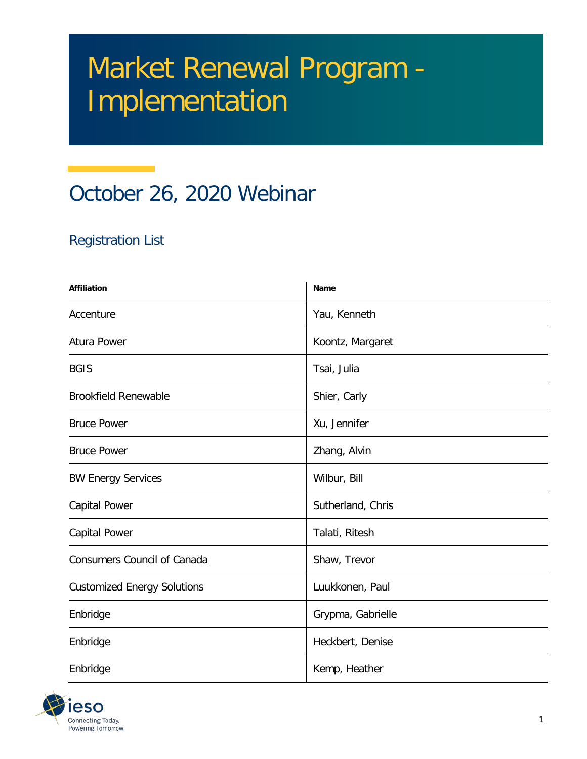## Market Renewal Program - Implementation

## October 26, 2020 Webinar

## Registration List

| <b>Affiliation</b>                 | Name              |
|------------------------------------|-------------------|
| Accenture                          | Yau, Kenneth      |
| Atura Power                        | Koontz, Margaret  |
| <b>BGIS</b>                        | Tsai, Julia       |
| <b>Brookfield Renewable</b>        | Shier, Carly      |
| <b>Bruce Power</b>                 | Xu, Jennifer      |
| <b>Bruce Power</b>                 | Zhang, Alvin      |
| <b>BW Energy Services</b>          | Wilbur, Bill      |
| Capital Power                      | Sutherland, Chris |
| Capital Power                      | Talati, Ritesh    |
| <b>Consumers Council of Canada</b> | Shaw, Trevor      |
| <b>Customized Energy Solutions</b> | Luukkonen, Paul   |
| Enbridge                           | Grypma, Gabrielle |
| Enbridge                           | Heckbert, Denise  |
| Enbridge                           | Kemp, Heather     |

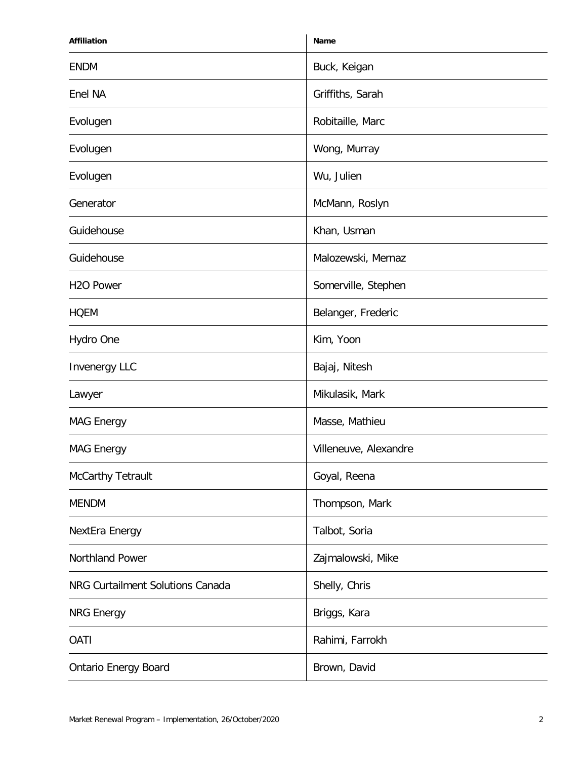| <b>Affiliation</b>               | Name                  |
|----------------------------------|-----------------------|
| <b>ENDM</b>                      | Buck, Keigan          |
| Enel NA                          | Griffiths, Sarah      |
| Evolugen                         | Robitaille, Marc      |
| Evolugen                         | Wong, Murray          |
| Evolugen                         | Wu, Julien            |
| Generator                        | McMann, Roslyn        |
| Guidehouse                       | Khan, Usman           |
| Guidehouse                       | Malozewski, Mernaz    |
| H <sub>2</sub> O Power           | Somerville, Stephen   |
| <b>HOEM</b>                      | Belanger, Frederic    |
| Hydro One                        | Kim, Yoon             |
| <b>Invenergy LLC</b>             | Bajaj, Nitesh         |
| Lawyer                           | Mikulasik, Mark       |
| <b>MAG Energy</b>                | Masse, Mathieu        |
| <b>MAG Energy</b>                | Villeneuve, Alexandre |
| McCarthy Tetrault                | Goyal, Reena          |
| <b>MENDM</b>                     | Thompson, Mark        |
| NextEra Energy                   | Talbot, Soria         |
| Northland Power                  | Zajmalowski, Mike     |
| NRG Curtailment Solutions Canada | Shelly, Chris         |
| <b>NRG Energy</b>                | Briggs, Kara          |
| <b>OATI</b>                      | Rahimi, Farrokh       |
| <b>Ontario Energy Board</b>      | Brown, David          |